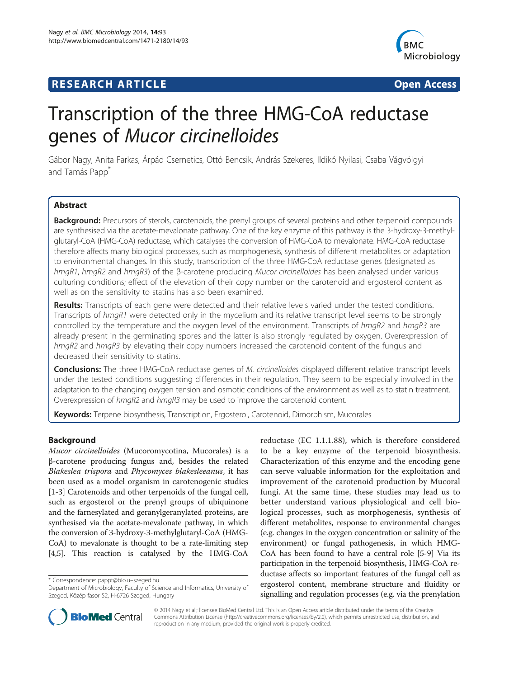# **RESEARCH ARTICLE Example 2014 CONSIDERING A RESEARCH ARTICLE**



# Transcription of the three HMG-CoA reductase genes of Mucor circinelloides

Gábor Nagy, Anita Farkas, Árpád Csernetics, Ottó Bencsik, András Szekeres, Ildikó Nyilasi, Csaba Vágvölgyi and Tamás Papp<sup>\*</sup>

# **Abstract**

Background: Precursors of sterols, carotenoids, the prenyl groups of several proteins and other terpenoid compounds are synthesised via the acetate-mevalonate pathway. One of the key enzyme of this pathway is the 3-hydroxy-3-methylglutaryl-CoA (HMG-CoA) reductase, which catalyses the conversion of HMG-CoA to mevalonate. HMG-CoA reductase therefore affects many biological processes, such as morphogenesis, synthesis of different metabolites or adaptation to environmental changes. In this study, transcription of the three HMG-CoA reductase genes (designated as hmgR1, hmgR2 and hmgR3) of the β-carotene producing Mucor circinelloides has been analysed under various culturing conditions; effect of the elevation of their copy number on the carotenoid and ergosterol content as well as on the sensitivity to statins has also been examined.

Results: Transcripts of each gene were detected and their relative levels varied under the tested conditions. Transcripts of hmgR1 were detected only in the mycelium and its relative transcript level seems to be strongly controlled by the temperature and the oxygen level of the environment. Transcripts of hmgR2 and hmgR3 are already present in the germinating spores and the latter is also strongly regulated by oxygen. Overexpression of hmgR2 and hmgR3 by elevating their copy numbers increased the carotenoid content of the fungus and decreased their sensitivity to statins.

Conclusions: The three HMG-CoA reductase genes of M. circinelloides displayed different relative transcript levels under the tested conditions suggesting differences in their regulation. They seem to be especially involved in the adaptation to the changing oxygen tension and osmotic conditions of the environment as well as to statin treatment. Overexpression of hmgR2 and hmgR3 may be used to improve the carotenoid content.

Keywords: Terpene biosynthesis, Transcription, Ergosterol, Carotenoid, Dimorphism, Mucorales

#### Background

Mucor circinelloides (Mucoromycotina, Mucorales) is a β-carotene producing fungus and, besides the related Blakeslea trispora and Phycomyces blakesleeanus, it has been used as a model organism in carotenogenic studies [[1-3](#page-8-0)] Carotenoids and other terpenoids of the fungal cell, such as ergosterol or the prenyl groups of ubiquinone and the farnesylated and geranylgeranylated proteins, are synthesised via the acetate-mevalonate pathway, in which the conversion of 3-hydroxy-3-methylglutaryl-CoA (HMG-CoA) to mevalonate is thought to be a rate-limiting step [[4,5](#page-8-0)]. This reaction is catalysed by the HMG-CoA

\* Correspondence: [pappt@bio.u](mailto:pappt@bio.uszeged.hu)–szeged.hu

reductase (EC 1.1.1.88), which is therefore considered to be a key enzyme of the terpenoid biosynthesis. Characterization of this enzyme and the encoding gene can serve valuable information for the exploitation and improvement of the carotenoid production by Mucoral fungi. At the same time, these studies may lead us to better understand various physiological and cell biological processes, such as morphogenesis, synthesis of different metabolites, response to environmental changes (e.g. changes in the oxygen concentration or salinity of the environment) or fungal pathogenesis, in which HMG-CoA has been found to have a central role [\[5](#page-8-0)-[9\]](#page-8-0) Via its participation in the terpenoid biosynthesis, HMG-CoA reductase affects so important features of the fungal cell as ergosterol content, membrane structure and fluidity or signalling and regulation processes (e.g. via the prenylation



© 2014 Nagy et al.; licensee BioMed Central Ltd. This is an Open Access article distributed under the terms of the Creative Commons Attribution License [\(http://creativecommons.org/licenses/by/2.0\)](http://creativecommons.org/licenses/by/2.0), which permits unrestricted use, distribution, and reproduction in any medium, provided the original work is properly credited.

Department of Microbiology, Faculty of Science and Informatics, University of Szeged, Közép fasor 52, H-6726 Szeged, Hungary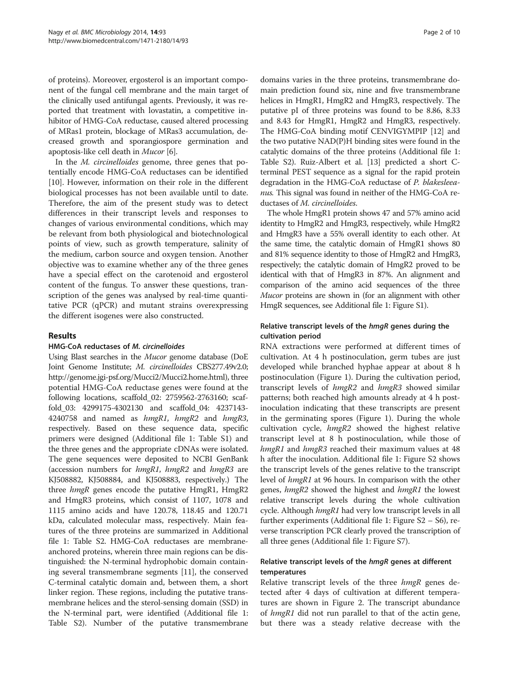of proteins). Moreover, ergosterol is an important component of the fungal cell membrane and the main target of the clinically used antifungal agents. Previously, it was reported that treatment with lovastatin, a competitive inhibitor of HMG-CoA reductase, caused altered processing of MRas1 protein, blockage of MRas3 accumulation, decreased growth and sporangiospore germination and apoptosis-like cell death in Mucor [\[6\]](#page-8-0).

In the M. circinelloides genome, three genes that potentially encode HMG-CoA reductases can be identified [[10\]](#page-8-0). However, information on their role in the different biological processes has not been available until to date. Therefore, the aim of the present study was to detect differences in their transcript levels and responses to changes of various environmental conditions, which may be relevant from both physiological and biotechnological points of view, such as growth temperature, salinity of the medium, carbon source and oxygen tension. Another objective was to examine whether any of the three genes have a special effect on the carotenoid and ergosterol content of the fungus. To answer these questions, transcription of the genes was analysed by real-time quantitative PCR (qPCR) and mutant strains overexpressing the different isogenes were also constructed.

#### Results

#### HMG-CoA reductases of M. circinelloides

Using Blast searches in the Mucor genome database (DoE Joint Genome Institute; M. circinelloides CBS277.49v2.0; <http://genome.jgi-psf.org/Mucci2/Mucci2.home.html>), three potential HMG-CoA reductase genes were found at the following locations, scaffold\_02: 2759562-2763160; scaffold\_03: 4299175-4302130 and scaffold\_04: 4237143- 4240758 and named as hmgR1, hmgR2 and hmgR3, respectively. Based on these sequence data, specific primers were designed (Additional file [1:](#page-8-0) Table S1) and the three genes and the appropriate cDNAs were isolated. The gene sequences were deposited to NCBI GenBank (accession numbers for  $hmgR1$ ,  $hmgR2$  and  $hmgR3$  are KJ508882, KJ508884, and KJ508883, respectively.) The three *hmgR* genes encode the putative HmgR1, HmgR2 and HmgR3 proteins, which consist of 1107, 1078 and 1115 amino acids and have 120.78, 118.45 and 120.71 kDa, calculated molecular mass, respectively. Main features of the three proteins are summarized in Additional file [1:](#page-8-0) Table S2. HMG-CoA reductases are membraneanchored proteins, wherein three main regions can be distinguished: the N-terminal hydrophobic domain containing several transmembrane segments [\[11\]](#page-9-0), the conserved C-terminal catalytic domain and, between them, a short linker region. These regions, including the putative transmembrane helices and the sterol-sensing domain (SSD) in the N-terminal part, were identified (Additional file [1](#page-8-0): Table S2). Number of the putative transmembrane

domains varies in the three proteins, transmembrane domain prediction found six, nine and five transmembrane helices in HmgR1, HmgR2 and HmgR3, respectively. The putative pI of three proteins was found to be 8.86, 8.33 and 8.43 for HmgR1, HmgR2 and HmgR3, respectively. The HMG-CoA binding motif CENVIGYMPIP [\[12\]](#page-9-0) and the two putative NAD(P)H binding sites were found in the catalytic domains of the three proteins (Additional file [1](#page-8-0): Table S2). Ruiz-Albert et al. [[13](#page-9-0)] predicted a short Cterminal PEST sequence as a signal for the rapid protein degradation in the HMG-CoA reductase of P. blakesleeanus. This signal was found in neither of the HMG-CoA reductases of M. circinelloides.

The whole HmgR1 protein shows 47 and 57% amino acid identity to HmgR2 and HmgR3, respectively, while HmgR2 and HmgR3 have a 55% overall identity to each other. At the same time, the catalytic domain of HmgR1 shows 80 and 81% sequence identity to those of HmgR2 and HmgR3, respectively; the catalytic domain of HmgR2 proved to be identical with that of HmgR3 in 87%. An alignment and comparison of the amino acid sequences of the three *Mucor* proteins are shown in (for an alignment with other HmgR sequences, see Additional file [1:](#page-8-0) Figure S1).

# Relative transcript levels of the hmgR genes during the cultivation period

RNA extractions were performed at different times of cultivation. At 4 h postinoculation, germ tubes are just developed while branched hyphae appear at about 8 h postinoculation (Figure [1\)](#page-2-0). During the cultivation period, transcript levels of hmgR2 and hmgR3 showed similar patterns; both reached high amounts already at 4 h postinoculation indicating that these transcripts are present in the germinating spores (Figure [1](#page-2-0)). During the whole cultivation cycle, hmgR2 showed the highest relative transcript level at 8 h postinoculation, while those of hmgR1 and hmgR3 reached their maximum values at 48 h after the inoculation. Additional file [1](#page-8-0): Figure S2 shows the transcript levels of the genes relative to the transcript level of hmgR1 at 96 hours. In comparison with the other genes, hmgR2 showed the highest and hmgR1 the lowest relative transcript levels during the whole cultivation cycle. Although *hmgR1* had very low transcript levels in all further experiments (Additional file [1](#page-8-0): Figure S2 – S6), reverse transcription PCR clearly proved the transcription of all three genes (Additional file [1](#page-8-0): Figure S7).

# Relative transcript levels of the hmgR genes at different temperatures

Relative transcript levels of the three hmgR genes detected after 4 days of cultivation at different temperatures are shown in Figure [2.](#page-2-0) The transcript abundance of hmgR1 did not run parallel to that of the actin gene, but there was a steady relative decrease with the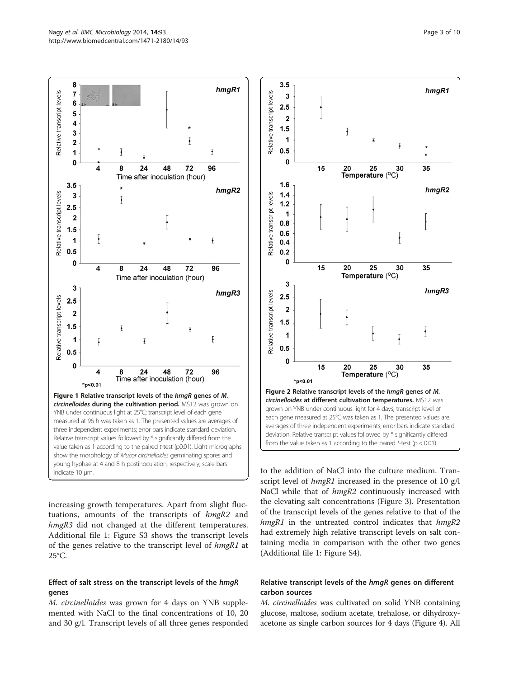<span id="page-2-0"></span>

increasing growth temperatures. Apart from slight fluctuations, amounts of the transcripts of hmgR2 and hmgR3 did not changed at the different temperatures. Additional file [1](#page-8-0): Figure S3 shows the transcript levels of the genes relative to the transcript level of hmgR1 at 25°C.

#### Effect of salt stress on the transcript levels of the hmgR genes

M. circinelloides was grown for 4 days on YNB supplemented with NaCl to the final concentrations of 10, 20 and 30 g/l. Transcript levels of all three genes responded



to the addition of NaCl into the culture medium. Transcript level of *hmgR1* increased in the presence of 10 g/l NaCl while that of  $hmgR2$  continuously increased with the elevating salt concentrations (Figure [3\)](#page-3-0). Presentation of the transcript levels of the genes relative to that of the hmgR1 in the untreated control indicates that hmgR2 had extremely high relative transcript levels on salt containing media in comparison with the other two genes (Additional file [1](#page-8-0): Figure S4).

# Relative transcript levels of the hmgR genes on different carbon sources

M. circinelloides was cultivated on solid YNB containing glucose, maltose, sodium acetate, trehalose, or dihydroxyacetone as single carbon sources for 4 days (Figure [4](#page-3-0)). All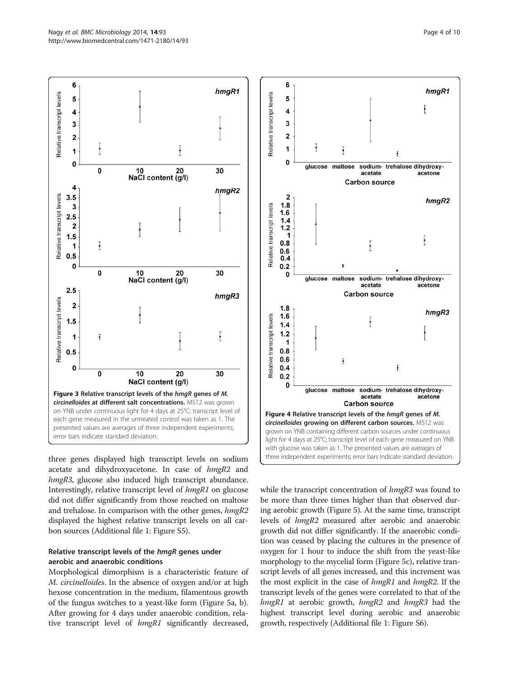<span id="page-3-0"></span>

three genes displayed high transcript levels on sodium acetate and dihydroxyacetone. In case of hmgR2 and hmgR3, glucose also induced high transcript abundance. Interestingly, relative transcript level of hmgR1 on glucose did not differ significantly from those reached on maltose and trehalose. In comparison with the other genes, hmgR2 displayed the highest relative transcript levels on all carbon sources (Additional file [1:](#page-8-0) Figure S5).

# Relative transcript levels of the hmgR genes under aerobic and anaerobic conditions

Morphological dimorphism is a characteristic feature of M. circinelloides. In the absence of oxygen and/or at high hexose concentration in the medium, filamentous growth of the fungus switches to a yeast-like form (Figure [5](#page-4-0)a, b). After growing for 4 days under anaerobic condition, relative transcript level of  $hmgR1$  significantly decreased,



while the transcript concentration of hmgR3 was found to be more than three times higher than that observed during aerobic growth (Figure [5](#page-4-0)). At the same time, transcript levels of hmgR2 measured after aerobic and anaerobic growth did not differ significantly. If the anaerobic condition was ceased by placing the cultures in the presence of oxygen for 1 hour to induce the shift from the yeast-like morphology to the mycelial form (Figure [5](#page-4-0)c), relative transcript levels of all genes increased, and this increment was the most explicit in the case of hmgR1 and hmgR2. If the transcript levels of the genes were correlated to that of the hmgR1 at aerobic growth, hmgR2 and hmgR3 had the highest transcript level during aerobic and anaerobic growth, respectively (Additional file [1](#page-8-0): Figure S6).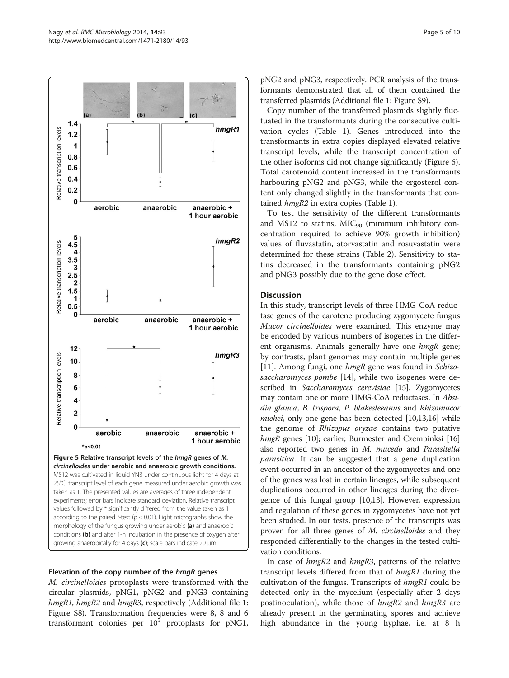<span id="page-4-0"></span> $(b)$  $1.4$  $h$ mg $R1$ Relative transcription levels  $1.2$ 1  $0.8$  $0.6$  $0.4$  $0.2$  $\mathbf 0$ aerobic anaerobic anaerobic + 1 hour aerobic 5  $hmgR2$  $4.\overline{5}$ Relative transcription levels 4  $3.5$  $\mathbf 3$  $2.5$  $\overline{2}$  $1.5$ Ŧ  $0.5$  $\Omega$ aerobic anaerobic anaerobic + 1 hour aerobic  $12$  $hmgR3$ Relative transcription levels 10 8 6 4  $\overline{2}$ O aerobic anaerobic anaerobic + 1 hour aerobic  $*_{p<0.01}$ Figure 5 Relative transcript levels of the hmgR genes of M. circinelloides under aerobic and anaerobic growth conditions. MS12 was cultivated in liquid YNB under continuous light for 4 days at 25°C; transcript level of each gene measured under aerobic growth was taken as 1. The presented values are averages of three independent experiments; error bars indicate standard deviation. Relative transcript values followed by \* significantly differed from the value taken as 1 according to the paired t-test ( $p < 0.01$ ). Light micrographs show the morphology of the fungus growing under aerobic (a) and anaerobic conditions (b) and after 1-h incubation in the presence of oxygen after growing anaerobically for 4 days  $(c)$ ; scale bars indicate 20  $\mu$ m.

#### Elevation of the copy number of the hmgR genes

M. circinelloides protoplasts were transformed with the circular plasmids, pNG1, pNG2 and pNG3 containing hmgR1, hmgR2 and hmgR3, respectively (Additional file [1](#page-8-0): Figure S8). Transformation frequencies were 8, 8 and 6 transformant colonies per  $10^5$  protoplasts for pNG1,

pNG2 and pNG3, respectively. PCR analysis of the transformants demonstrated that all of them contained the transferred plasmids (Additional file [1](#page-8-0): Figure S9).

Copy number of the transferred plasmids slightly fluctuated in the transformants during the consecutive cultivation cycles (Table [1\)](#page-5-0). Genes introduced into the transformants in extra copies displayed elevated relative transcript levels, while the transcript concentration of the other isoforms did not change significantly (Figure [6](#page-5-0)). Total carotenoid content increased in the transformants harbouring pNG2 and pNG3, while the ergosterol content only changed slightly in the transformants that contained hmgR2 in extra copies (Table [1\)](#page-5-0).

To test the sensitivity of the different transformants and MS12 to statins,  $MIC_{90}$  (minimum inhibitory concentration required to achieve 90% growth inhibition) values of fluvastatin, atorvastatin and rosuvastatin were determined for these strains (Table [2](#page-6-0)). Sensitivity to statins decreased in the transformants containing pNG2 and pNG3 possibly due to the gene dose effect.

#### **Discussion**

In this study, transcript levels of three HMG-CoA reductase genes of the carotene producing zygomycete fungus Mucor circinelloides were examined. This enzyme may be encoded by various numbers of isogenes in the different organisms. Animals generally have one hmgR gene; by contrasts, plant genomes may contain multiple genes [[11\]](#page-9-0). Among fungi, one hmgR gene was found in Schizo-saccharomyces pombe [\[14](#page-9-0)], while two isogenes were de-scribed in Saccharomyces cerevisiae [[15](#page-9-0)]. Zygomycetes may contain one or more HMG-CoA reductases. In Absidia glauca, B. trispora, P. blakesleeanus and Rhizomucor miehei, only one gene has been detected [[10](#page-8-0)[,13,16\]](#page-9-0) while the genome of Rhizopus oryzae contains two putative hmgR genes [\[10\]](#page-8-0); earlier, Burmester and Czempinksi [[16](#page-9-0)] also reported two genes in M. mucedo and Parasitella parasitica. It can be suggested that a gene duplication event occurred in an ancestor of the zygomycetes and one of the genes was lost in certain lineages, while subsequent duplications occurred in other lineages during the divergence of this fungal group [\[10](#page-8-0)[,13\]](#page-9-0). However, expression and regulation of these genes in zygomycetes have not yet been studied. In our tests, presence of the transcripts was proven for all three genes of *M. circinelloides* and they responded differentially to the changes in the tested cultivation conditions.

In case of *hmgR2* and *hmgR3*, patterns of the relative transcript levels differed from that of hmgR1 during the cultivation of the fungus. Transcripts of *hmgR1* could be detected only in the mycelium (especially after 2 days postinoculation), while those of *hmgR2* and *hmgR3* are already present in the germinating spores and achieve high abundance in the young hyphae, i.e. at 8 h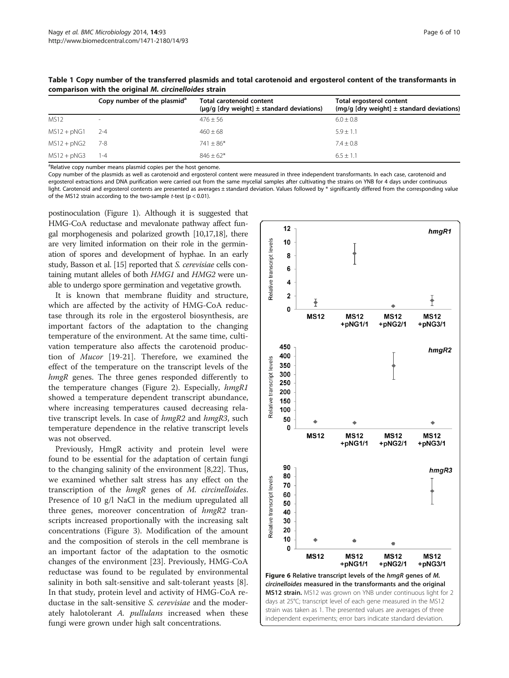|               | Copy number of the plasmid <sup>a</sup> | Total carotenoid content<br>$(\mu g/g \text{ [dry weight]} \pm \text{standard deviations})$ | Total ergosterol content<br>(mg/g [dry weight] $\pm$ standard deviations) |
|---------------|-----------------------------------------|---------------------------------------------------------------------------------------------|---------------------------------------------------------------------------|
| <b>MS12</b>   | $\sim$                                  | $476 + 56$                                                                                  | $6.0 \pm 0.8$                                                             |
| $MS12 + pNG1$ | $2 - 4$                                 | $460 \pm 68$                                                                                | $5.9 + 1.1$                                                               |
| $MS12 + pNG2$ | 7-8                                     | $741 \pm 86*$                                                                               | $7.4 \pm 0.8$                                                             |
| $MS12 + pNG3$ | $1 - 4$                                 | $846 + 62*$                                                                                 | $6.5 + 1.1$                                                               |

<span id="page-5-0"></span>Table 1 Copy number of the transferred plasmids and total carotenoid and ergosterol content of the transformants in comparison with the original M. circinelloides strain

<sup>a</sup>Relative copy number means plasmid copies per the host genome.

Copy number of the plasmids as well as carotenoid and ergosterol content were measured in three independent transformants. In each case, carotenoid and ergosterol extractions and DNA purification were carried out from the same mycelial samples after cultivating the strains on YNB for 4 days under continuous light. Carotenoid and ergosterol contents are presented as averages ± standard deviation. Values followed by \* significantly differed from the corresponding value of the MS12 strain according to the two-sample *t*-test ( $p < 0.01$ ).

postinoculation (Figure [1](#page-2-0)). Although it is suggested that HMG-CoA reductase and mevalonate pathway affect fungal morphogenesis and polarized growth [\[10](#page-8-0)[,17,18](#page-9-0)], there are very limited information on their role in the germination of spores and development of hyphae. In an early study, Basson et al. [\[15](#page-9-0)] reported that S. cerevisiae cells containing mutant alleles of both HMG1 and HMG2 were unable to undergo spore germination and vegetative growth.

It is known that membrane fluidity and structure, which are affected by the activity of HMG-CoA reductase through its role in the ergosterol biosynthesis, are important factors of the adaptation to the changing temperature of the environment. At the same time, cultivation temperature also affects the carotenoid production of Mucor [\[19](#page-9-0)-[21](#page-9-0)]. Therefore, we examined the effect of the temperature on the transcript levels of the hmgR genes. The three genes responded differently to the temperature changes (Figure [2](#page-2-0)). Especially, hmgR1 showed a temperature dependent transcript abundance, where increasing temperatures caused decreasing relative transcript levels. In case of hmgR2 and hmgR3, such temperature dependence in the relative transcript levels was not observed.

Previously, HmgR activity and protein level were found to be essential for the adaptation of certain fungi to the changing salinity of the environment [\[8,](#page-8-0)[22\]](#page-9-0). Thus, we examined whether salt stress has any effect on the transcription of the hmgR genes of M. circinelloides. Presence of 10 g/l NaCl in the medium upregulated all three genes, moreover concentration of  $hmgR2$  transcripts increased proportionally with the increasing salt concentrations (Figure [3\)](#page-3-0). Modification of the amount and the composition of sterols in the cell membrane is an important factor of the adaptation to the osmotic changes of the environment [[23](#page-9-0)]. Previously, HMG-CoA reductase was found to be regulated by environmental salinity in both salt-sensitive and salt-tolerant yeasts [\[8](#page-8-0)]. In that study, protein level and activity of HMG-CoA reductase in the salt-sensitive S. cerevisiae and the moderately halotolerant A. *pullulans* increased when these fungi were grown under high salt concentrations.

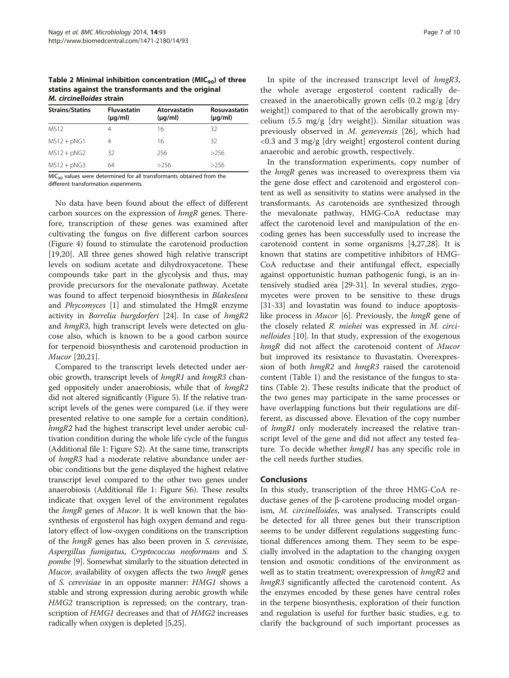<span id="page-6-0"></span>Table 2 Minimal inhibition concentration ( $MIC<sub>90</sub>$ ) of three statins against the transformants and the original M. circinelloides strain

| <b>Strains/Statins</b> | <b>Fluvastatin</b><br>$(\mu q/ml)$ | Atorvastatin<br>$(\mu q/ml)$ | Rosuvastatin<br>$(\mu q/ml)$ |  |
|------------------------|------------------------------------|------------------------------|------------------------------|--|
| <b>MS12</b>            | 4                                  | 16                           | 32                           |  |
| $MS12 + pNG1$          |                                    | 16                           | 32                           |  |
| $MS12 + pNG2$          | 32                                 | 256                          | >256                         |  |
| $MS12 + pNG3$          | 64                                 | >256                         | >256                         |  |

MIC<sub>90</sub> values were determined for all transformants obtained from the different transformation experiments.

No data have been found about the effect of different carbon sources on the expression of hmgR genes. Therefore, transcription of these genes was examined after cultivating the fungus on five different carbon sources (Figure [4](#page-3-0)) found to stimulate the carotenoid production [[19,20\]](#page-9-0). All three genes showed high relative transcript levels on sodium acetate and dihydroxyacetone. These compounds take part in the glycolysis and thus, may provide precursors for the mevalonate pathway. Acetate was found to affect terpenoid biosynthesis in *Blakesleea* and Phycomyces [[1](#page-8-0)] and stimulated the HmgR enzyme activity in Borrelia burgdorferi [\[24\]](#page-9-0). In case of hmgR2 and hmgR3, high transcript levels were detected on glucose also, which is known to be a good carbon source for terpenoid biosynthesis and carotenoid production in Mucor [[20,21](#page-9-0)].

Compared to the transcript levels detected under aerobic growth, transcript levels of hmgR1 and hmgR3 changed oppositely under anaerobiosis, while that of  $hmgR2$ did not altered significantly (Figure [5\)](#page-4-0). If the relative transcript levels of the genes were compared (i.e. if they were presented relative to one sample for a certain condition), hmgR2 had the highest transcript level under aerobic cultivation condition during the whole life cycle of the fungus (Additional file [1](#page-8-0): Figure S2). At the same time, transcripts of hmgR3 had a moderate relative abundance under aerobic conditions but the gene displayed the highest relative transcript level compared to the other two genes under anaerobiosis (Additional file [1](#page-8-0): Figure S6). These results indicate that oxygen level of the environment regulates the hmgR genes of Mucor. It is well known that the biosynthesis of ergosterol has high oxygen demand and regulatory effect of low-oxygen conditions on the transcription of the hmgR genes has also been proven in S. cerevisiae, Aspergillus fumigatus, Cryptococcus neoformans and S. pombe [[9\]](#page-8-0). Somewhat similarly to the situation detected in Mucor, availability of oxygen affects the two hmgR genes of S. cerevisiae in an opposite manner: HMG1 shows a stable and strong expression during aerobic growth while HMG2 transcription is repressed; on the contrary, transcription of HMG1 decreases and that of HMG2 increases radically when oxygen is depleted [\[5](#page-8-0)[,25\]](#page-9-0).

In spite of the increased transcript level of hmgR3, the whole average ergosterol content radically decreased in the anaerobically grown cells (0.2 mg/g [dry weight]) compared to that of the aerobically grown mycelium (5.5 mg/g [dry weight]). Similar situation was previously observed in M. genevensis [\[26](#page-9-0)], which had <0.3 and 3 mg/g [dry weight] ergosterol content during anaerobic and aerobic growth, respectively.

In the transformation experiments, copy number of the hmgR genes was increased to overexpress them via the gene dose effect and carotenoid and ergosterol content as well as sensitivity to statins were analysed in the transformants. As carotenoids are synthesized through the mevalonate pathway, HMG-CoA reductase may affect the carotenoid level and manipulation of the encoding genes has been successfully used to increase the carotenoid content in some organisms [[4,](#page-8-0)[27,28\]](#page-9-0). It is known that statins are competitive inhibitors of HMG-CoA reductase and their antifungal effect, especially against opportunistic human pathogenic fungi, is an intensively studied area [\[29-31](#page-9-0)]. In several studies, zygomycetes were proven to be sensitive to these drugs [[31-33](#page-9-0)] and lovastatin was found to induce apoptosislike process in *Mucor* [\[6](#page-8-0)]. Previously, the *hmgR* gene of the closely related R. miehei was expressed in M. circi-nelloides [\[10](#page-8-0)]. In that study, expression of the exogenous hmgR did not affect the carotenoid content of Mucor but improved its resistance to fluvastatin. Overexpression of both *hmgR2* and *hmgR3* raised the carotenoid content (Table [1](#page-5-0)) and the resistance of the fungus to statins (Table 2). These results indicate that the product of the two genes may participate in the same processes or have overlapping functions but their regulations are different, as discussed above. Elevation of the copy number of hmgR1 only moderately increased the relative transcript level of the gene and did not affect any tested feature. To decide whether *hmgR1* has any specific role in the cell needs further studies.

# Conclusions

In this study, transcription of the three HMG-CoA reductase genes of the β-carotene producing model organism, M. circinelloides, was analysed. Transcripts could be detected for all three genes but their transcription seems to be under different regulations suggesting functional differences among them. They seem to be especially involved in the adaptation to the changing oxygen tension and osmotic conditions of the environment as well as to statin treatment; overexpression of  $hmgR2$  and hmgR3 significantly affected the carotenoid content. As the enzymes encoded by these genes have central roles in the terpene biosynthesis, exploration of their function and regulation is useful for further basic studies, e.g. to clarify the background of such important processes as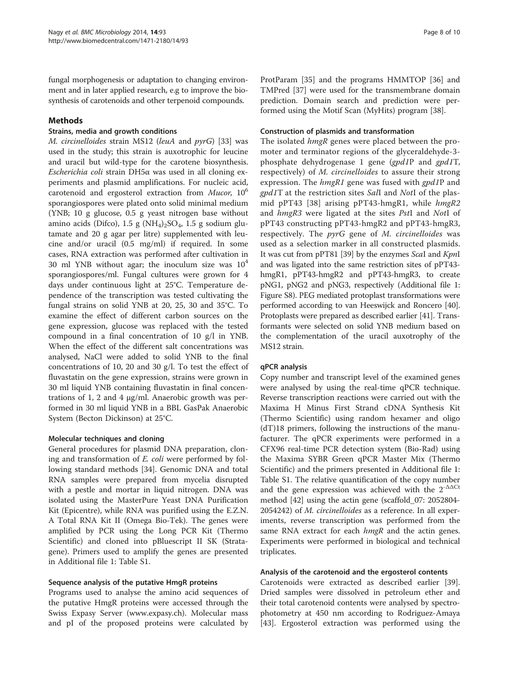fungal morphogenesis or adaptation to changing environment and in later applied research, e.g to improve the biosynthesis of carotenoids and other terpenoid compounds.

# Methods

#### Strains, media and growth conditions

M. circinelloides strain MS12 (leuA and pyrG) [\[33](#page-9-0)] was used in the study; this strain is auxotrophic for leucine and uracil but wild-type for the carotene biosynthesis. Escherichia coli strain DH5α was used in all cloning experiments and plasmid amplifications. For nucleic acid, carotenoid and ergosterol extraction from *Mucor*, 10<sup>6</sup> sporangiospores were plated onto solid minimal medium (YNB; 10 g glucose, 0.5 g yeast nitrogen base without amino acids (Difco), 1.5 g (NH<sub>4</sub>)<sub>2</sub>SO<sub>4</sub>, 1.5 g sodium glutamate and 20 g agar per litre) supplemented with leucine and/or uracil (0.5 mg/ml) if required. In some cases, RNA extraction was performed after cultivation in 30 ml YNB without agar; the inoculum size was  $10<sup>4</sup>$ sporangiospores/ml. Fungal cultures were grown for 4 days under continuous light at 25°C. Temperature dependence of the transcription was tested cultivating the fungal strains on solid YNB at 20, 25, 30 and 35°C. To examine the effect of different carbon sources on the gene expression, glucose was replaced with the tested compound in a final concentration of 10 g/l in YNB. When the effect of the different salt concentrations was analysed, NaCl were added to solid YNB to the final concentrations of 10, 20 and 30 g/l. To test the effect of fluvastatin on the gene expression, strains were grown in 30 ml liquid YNB containing fluvastatin in final concentrations of 1, 2 and 4 μg/ml. Anaerobic growth was performed in 30 ml liquid YNB in a BBL GasPak Anaerobic System (Becton Dickinson) at 25°C.

#### Molecular techniques and cloning

General procedures for plasmid DNA preparation, cloning and transformation of E. coli were performed by following standard methods [\[34](#page-9-0)]. Genomic DNA and total RNA samples were prepared from mycelia disrupted with a pestle and mortar in liquid nitrogen. DNA was isolated using the MasterPure Yeast DNA Purification Kit (Epicentre), while RNA was purified using the E.Z.N. A Total RNA Kit II (Omega Bio-Tek). The genes were amplified by PCR using the Long PCR Kit (Thermo Scientific) and cloned into pBluescript II SK (Stratagene). Primers used to amplify the genes are presented in Additional file [1:](#page-8-0) Table S1.

#### Sequence analysis of the putative HmgR proteins

Programs used to analyse the amino acid sequences of the putative HmgR proteins were accessed through the Swiss Expasy Server [\(www.expasy.ch](http://www.expasy.ch)). Molecular mass and pI of the proposed proteins were calculated by

ProtParam [[35\]](#page-9-0) and the programs HMMTOP [\[36\]](#page-9-0) and TMPred [[37\]](#page-9-0) were used for the transmembrane domain prediction. Domain search and prediction were performed using the Motif Scan (MyHits) program [[38\]](#page-9-0).

#### Construction of plasmids and transformation

The isolated *hmgR* genes were placed between the promoter and terminator regions of the glyceraldehyde-3 phosphate dehydrogenase 1 gene (gpd1P and gpd1T, respectively) of M. circinelloides to assure their strong expression. The hmgR1 gene was fused with gpd1P and gpd1T at the restriction sites SalI and NotI of the plasmid pPT43 [\[38](#page-9-0)] arising pPT43-hmgR1, while hmgR2 and hmgR3 were ligated at the sites PstI and NotI of pPT43 constructing pPT43-hmgR2 and pPT43-hmgR3, respectively. The pyrG gene of M. circinelloides was used as a selection marker in all constructed plasmids. It was cut from pPT81 [[39](#page-9-0)] by the enzymes ScaI and KpnI and was ligated into the same restriction sites of pPT43 hmgR1, pPT43-hmgR2 and pPT43-hmgR3, to create pNG1, pNG2 and pNG3, respectively (Additional file [1](#page-8-0): Figure S8). PEG mediated protoplast transformations were performed according to van Heeswijck and Roncero [[40](#page-9-0)]. Protoplasts were prepared as described earlier [\[41\]](#page-9-0). Transformants were selected on solid YNB medium based on the complementation of the uracil auxotrophy of the MS12 strain.

#### qPCR analysis

Copy number and transcript level of the examined genes were analysed by using the real-time qPCR technique. Reverse transcription reactions were carried out with the Maxima H Minus First Strand cDNA Synthesis Kit (Thermo Scientific) using random hexamer and oligo (dT)18 primers, following the instructions of the manufacturer. The qPCR experiments were performed in a CFX96 real-time PCR detection system (Bio-Rad) using the Maxima SYBR Green qPCR Master Mix (Thermo Scientific) and the primers presented in Additional file [1](#page-8-0): Table S1. The relative quantification of the copy number and the gene expression was achieved with the  $2^{-\Delta\Delta Ct}$ method [[42\]](#page-9-0) using the actin gene (scaffold\_07: 2052804- 2054242) of M. circinelloides as a reference. In all experiments, reverse transcription was performed from the same RNA extract for each *hmgR* and the actin genes. Experiments were performed in biological and technical triplicates.

#### Analysis of the carotenoid and the ergosterol contents

Carotenoids were extracted as described earlier [\[39](#page-9-0)]. Dried samples were dissolved in petroleum ether and their total carotenoid contents were analysed by spectrophotometry at 450 nm according to Rodriguez-Amaya [[43\]](#page-9-0). Ergosterol extraction was performed using the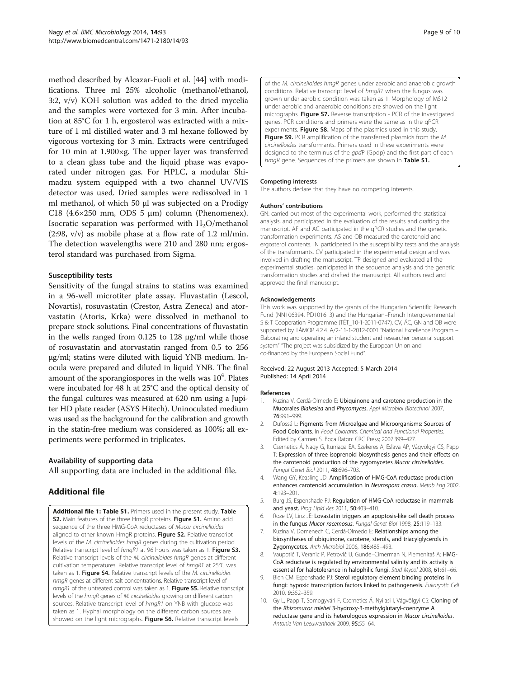<span id="page-8-0"></span>method described by Alcazar-Fuoli et al. [\[44\]](#page-9-0) with modifications. Three ml 25% alcoholic (methanol/ethanol, 3:2, v/v) KOH solution was added to the dried mycelia and the samples were vortexed for 3 min. After incubation at 85°C for 1 h, ergosterol was extracted with a mixture of 1 ml distilled water and 3 ml hexane followed by vigorous vortexing for 3 min. Extracts were centrifuged for 10 min at 1.900×g. The upper layer was transferred to a clean glass tube and the liquid phase was evaporated under nitrogen gas. For HPLC, a modular Shimadzu system equipped with a two channel UV/VIS detector was used. Dried samples were redissolved in 1 ml methanol, of which 50 μl was subjected on a Prodigy C18 (4.6 $\times$ 250 mm, ODS 5 µm) column (Phenomenex). Isocratic separation was performed with  $H<sub>2</sub>O/methanol$ (2:98, v/v) as mobile phase at a flow rate of 1.2 ml/min. The detection wavelengths were 210 and 280 nm; ergosterol standard was purchased from Sigma.

#### Susceptibility tests

Sensitivity of the fungal strains to statins was examined in a 96-well microtiter plate assay. Fluvastatin (Lescol, Novartis), rosuvastatin (Crestor, Astra Zeneca) and atorvastatin (Atoris, Krka) were dissolved in methanol to prepare stock solutions. Final concentrations of fluvastatin in the wells ranged from 0.125 to 128 μg/ml while those of rosuvastatin and atorvastatin ranged from 0.5 to 256 μg/ml; statins were diluted with liquid YNB medium. Inocula were prepared and diluted in liquid YNB. The final amount of the sporangiospores in the wells was  $10^4$ . Plates were incubated for 48 h at 25°C and the optical density of the fungal cultures was measured at 620 nm using a Jupiter HD plate reader (ASYS Hitech). Uninoculated medium was used as the background for the calibration and growth in the statin-free medium was considered as 100%; all experiments were performed in triplicates.

#### Availability of supporting data

All supporting data are included in the additional file.

# Additional file

[Additional file 1: Table S1.](http://www.biomedcentral.com/content/supplementary/1471-2180-14-93-S1.pdf) Primers used in the present study. Table S2. Main features of the three HmgR proteins. Figure S1. Amino acid sequence of the three HMG-CoA reductases of Mucor circinelloides aligned to other known HmgR proteins. Figure S2. Relative transcript levels of the M. circinelloides hmgR genes during the cultivation period. Relative transcript level of hmgR1 at 96 hours was taken as 1. Figure S3. Relative transcript levels of the M. circinelloides hmgR genes at different cultivation temperatures. Relative transcript level of hmgR1 at 25°C was taken as 1. Figure S4. Relative transcript levels of the M. circinelloides hmgR genes at different salt concentrations. Relative transcript level of hmgR1 of the untreated control was taken as 1. Figure S5. Relative transcript levels of the hmgR genes of M. circinelloides growing on different carbon sources. Relative transcript level of hmgR1 on YNB with glucose was taken as 1. Hyphal morphology on the different carbon sources are showed on the light micrographs. Figure S6. Relative transcript levels

of the M. circinelloides hmgR genes under aerobic and anaerobic growth conditions. Relative transcript level of hmgR1 when the fungus was grown under aerobic condition was taken as 1. Morphology of MS12 under aerobic and anaerobic conditions are showed on the light micrographs. Figure S7. Reverse transcription - PCR of the investigated genes. PCR conditions and primers were the same as in the qPCR experiments. Figure S8. Maps of the plasmids used in this study. Figure S9. PCR amplification of the transferred plasmids from the M. circinelloides transformants. Primers used in these experiments were designed to the terminus of the gpdP (Gpdp) and the first part of each hmgR gene. Sequences of the primers are shown in Table S1.

#### Competing interests

The authors declare that they have no competing interests.

#### Authors' contributions

GN: carried out most of the experimental work, performed the statistical analysis, and participated in the evaluation of the results and drafting the manuscript. AF and AC participated in the qPCR studies and the genetic transformation experiments. AS and OB measured the carotenoid and ergosterol contents. IN participated in the susceptibility tests and the analysis of the transformants. CV participated in the experimental design and was involved in drafting the manuscript. TP designed and evaluated all the experimental studies, participated in the sequence analysis and the genetic transformation studies and drafted the manuscript. All authors read and approved the final manuscript.

#### Acknowledgements

This work was supported by the grants of the Hungarian Scientific Research Fund (NN106394, PD101613) and the Hungarian–French Intergovernmental S & T Cooperation Programme (TÉT\_10-1-2011-0747). CV, ÁC, GN and OB were supported by TÁMOP 4.2.4. A/2-11-1-2012-0001 "National Excellence Program – Elaborating and operating an inland student and researcher personal support system" "The project was subsidized by the European Union and co-financed by the European Social Fund".

#### Received: 22 August 2013 Accepted: 5 March 2014 Published: 14 April 2014

#### References

- 1. Kuzina V, Cerdá-Olmedo E: Ubiquinone and carotene production in the Mucorales Blakeslea and Phycomyces. Appl Microbiol Biotechnol 2007, 76:991–999.
- 2. Dufossé L: Pigments from Microalgae and Microorganisms: Sources of Food Colorants. In Food Colorants, Chemical and Functional Properties. Edited by Carmen S. Boca Raton: CRC Press; 2007:399–427.
- 3. Csernetics Á, Nagy G, Iturriaga EA, Szekeres A, Eslava AP, Vágvölgyi CS, Papp T: Expression of three isoprenoid biosynthesis genes and their effects on the carotenoid production of the zygomycetes Mucor circinelloides. Fungal Genet Biol 2011, 48:696–703.
- 4. Wang GY, Keasling JD: Amplification of HMG-CoA reductase production enhances carotenoid accumulation in Neurospora crassa. Metab Eng 2002, 4:193–201.
- 5. Burg JS, Espenshade PJ: Regulation of HMG-CoA reductase in mammals and yeast. Prog Lipid Res 2011, 50:403-410.
- 6. Roze LV, Linz JE: Lovastatin triggers an apoptosis-like cell death process in the fungus Mucor racemosus. Fungal Genet Biol 1998, 25:119–133.
- 7. Kuzina V, Domenech C, Cerdá-Olmedo E: Relationships among the biosyntheses of ubiquinone, carotene, sterols, and triacylglycerols in Zygomycetes. Arch Microbiol 2006, 186:485–493.
- 8. Vaupotič T, Veranic P, Petrovič U, Gunde–Cimerman N, Plemenitaš A: HMG-CoA reductase is regulated by environmental salinity and its activity is essential for halotolerance in halophilic fungi. Stud Mycol 2008, 61:61–66.
- 9. Bien CM, Espenshade PJ: Sterol regulatory element binding proteins in fungi: hypoxic transcription factors linked to pathogenesis. Eukaryotic Cell 2010, 9:352–359.
- 10. Gy L, Papp T, Somogyvári F, Csernetics Á, Nyilasi I, Vágvölgyi CS: Cloning of the Rhizomucor miehei 3-hydroxy-3-methylglutaryl-coenzyme A reductase gene and its heterologous expression in Mucor circinelloides. Antonie Van Leeuwenhoek 2009, 95:55–64.